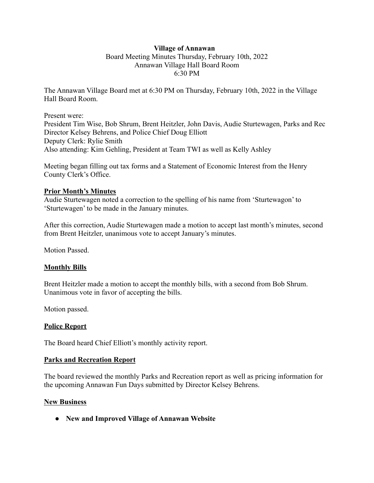## **Village of Annawan**

Board Meeting Minutes Thursday, February 10th, 2022 Annawan Village Hall Board Room 6:30 PM

The Annawan Village Board met at 6:30 PM on Thursday, February 10th, 2022 in the Village Hall Board Room.

Present were:

President Tim Wise, Bob Shrum, Brent Heitzler, John Davis, Audie Sturtewagen, Parks and Rec Director Kelsey Behrens, and Police Chief Doug Elliott Deputy Clerk: Rylie Smith Also attending: Kim Gehling, President at Team TWI as well as Kelly Ashley

Meeting began filling out tax forms and a Statement of Economic Interest from the Henry County Clerk's Office.

## **Prior Month's Minutes**

Audie Sturtewagen noted a correction to the spelling of his name from 'Sturtewagon' to 'Sturtewagen' to be made in the January minutes.

After this correction, Audie Sturtewagen made a motion to accept last month's minutes, second from Brent Heitzler, unanimous vote to accept January's minutes.

Motion Passed.

## **Monthly Bills**

Brent Heitzler made a motion to accept the monthly bills, with a second from Bob Shrum. Unanimous vote in favor of accepting the bills.

Motion passed.

## **Police Report**

The Board heard Chief Elliott's monthly activity report.

## **Parks and Recreation Report**

The board reviewed the monthly Parks and Recreation report as well as pricing information for the upcoming Annawan Fun Days submitted by Director Kelsey Behrens.

## **New Business**

**● New and Improved Village of Annawan Website**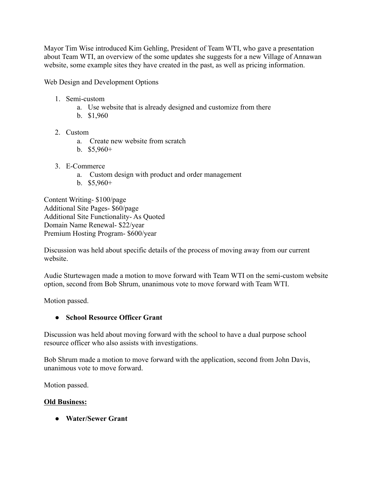Mayor Tim Wise introduced Kim Gehling, President of Team WTI, who gave a presentation about Team WTI, an overview of the some updates she suggests for a new Village of Annawan website, some example sites they have created in the past, as well as pricing information.

Web Design and Development Options

- 1. Semi-custom
	- a. Use website that is already designed and customize from there
	- b. \$1,960
- 2. Custom
	- a. Create new website from scratch
	- b. \$5,960+
- 3. E-Commerce
	- a. Custom design with product and order management
	- b. \$5,960+

Content Writing- \$100/page Additional Site Pages- \$60/page Additional Site Functionality- As Quoted Domain Name Renewal- \$22/year Premium Hosting Program- \$600/year

Discussion was held about specific details of the process of moving away from our current website.

Audie Sturtewagen made a motion to move forward with Team WTI on the semi-custom website option, second from Bob Shrum, unanimous vote to move forward with Team WTI.

Motion passed.

## **● School Resource Officer Grant**

Discussion was held about moving forward with the school to have a dual purpose school resource officer who also assists with investigations.

Bob Shrum made a motion to move forward with the application, second from John Davis, unanimous vote to move forward.

Motion passed.

## **Old Business:**

**● Water/Sewer Grant**